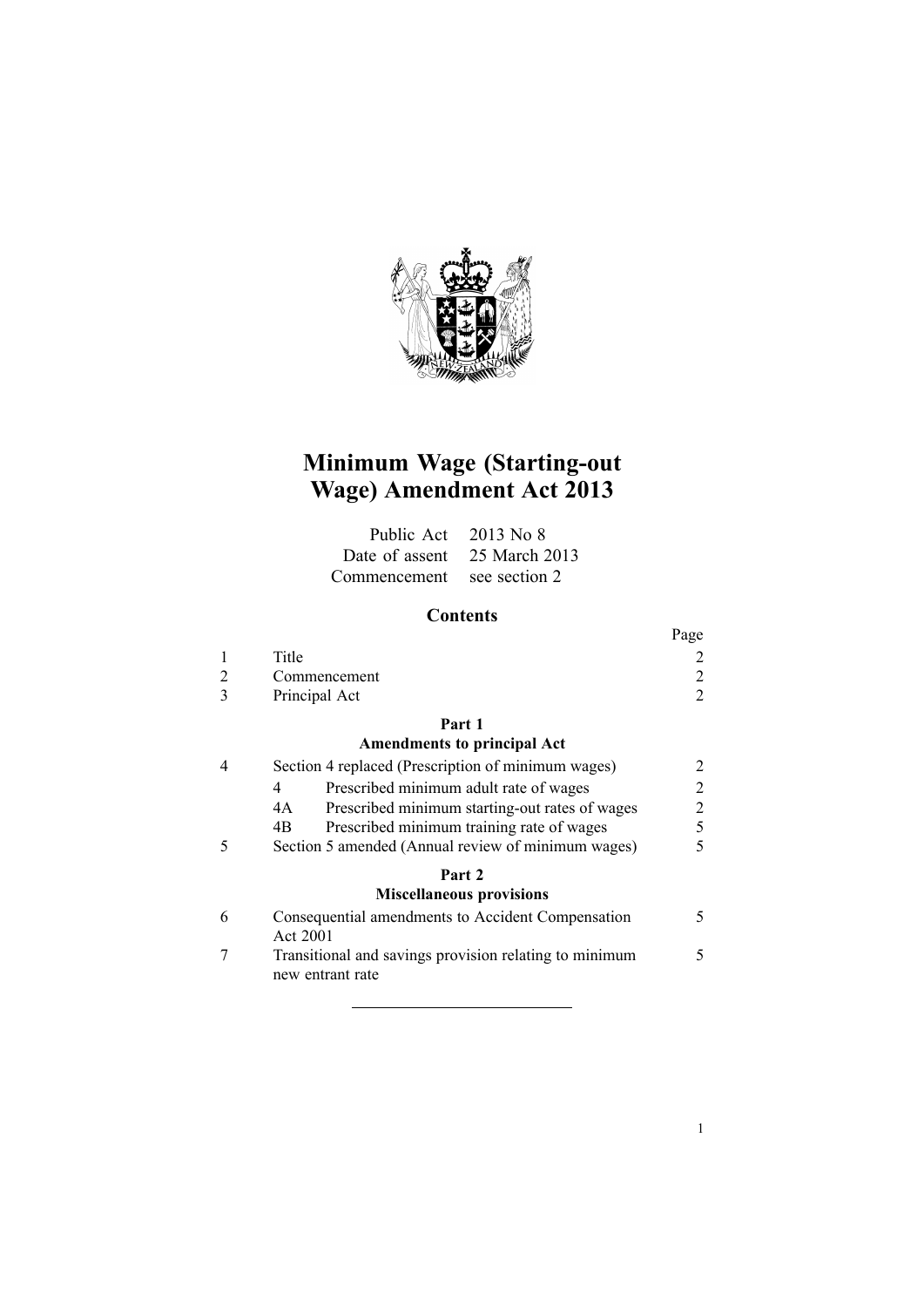

# **Minimum Wage (Starting-out Wage) Amendment Act 2013**

| Public Act 2013 No 8       |                              |
|----------------------------|------------------------------|
|                            | Date of assent 25 March 2013 |
| Commencement see section 2 |                              |

# **Contents**

|              |               | Page                        |
|--------------|---------------|-----------------------------|
|              | Title         | $\mathcal{D}_{\mathcal{L}}$ |
|              | Commencement  | $\mathcal{D}_{\mathcal{L}}$ |
| $\mathbf{R}$ | Principal Act | $\gamma$                    |
|              | Part 1        |                             |

## **[Amendments](#page-1-0) to principal Act**

|   | Section 4 replaced (Prescription of minimum wages)                         | 2 |
|---|----------------------------------------------------------------------------|---|
|   | Prescribed minimum adult rate of wages                                     | 2 |
|   | Prescribed minimum starting-out rates of wages<br>4A                       | 2 |
|   | Prescribed minimum training rate of wages<br>4B                            | 5 |
|   | Section 5 amended (Annual review of minimum wages)                         |   |
|   | Part 2<br><b>Miscellaneous provisions</b>                                  |   |
| 6 | Consequential amendments to Accident Compensation<br>Act 2001              |   |
|   | Transitional and savings provision relating to minimum<br>new entrant rate |   |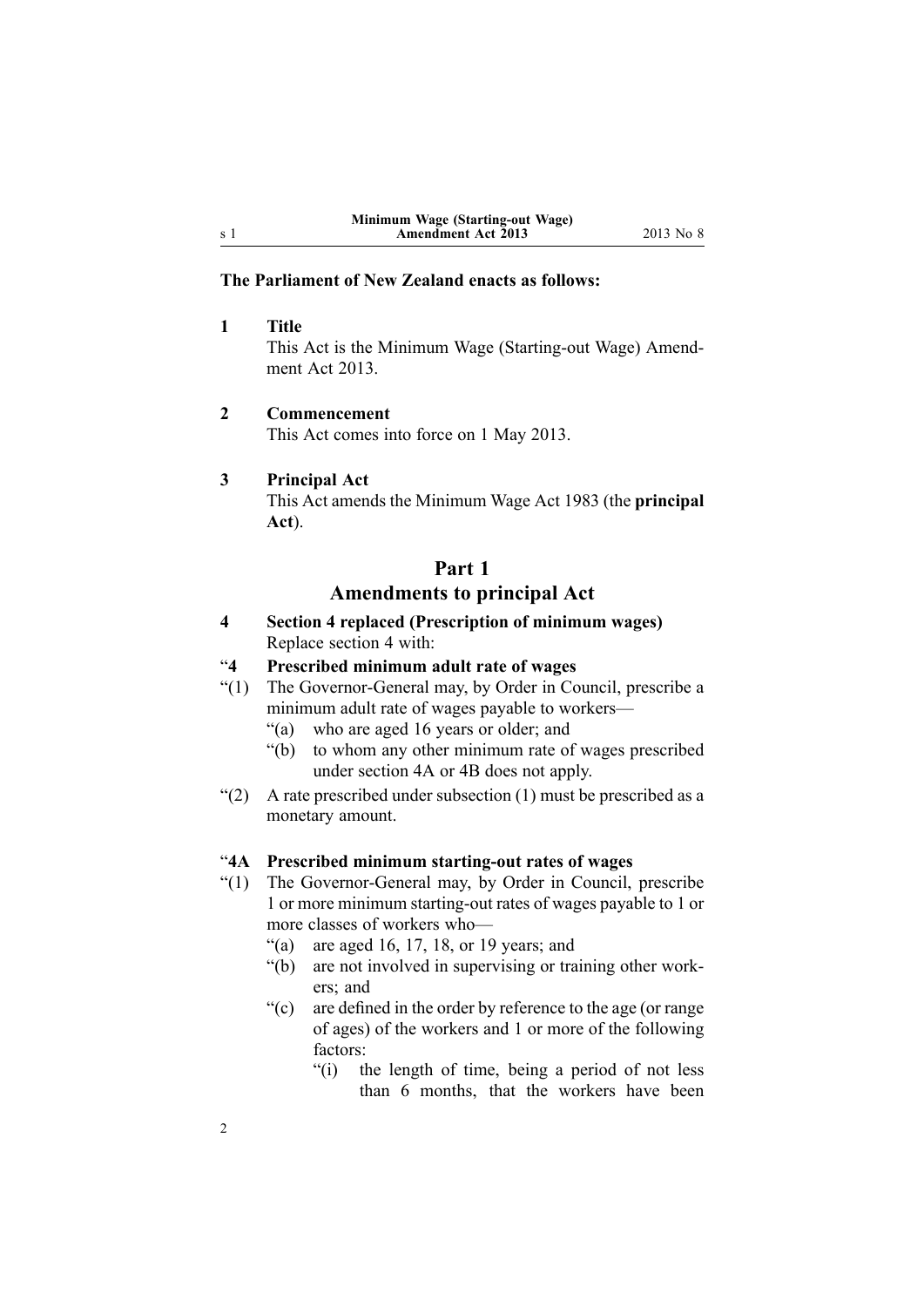#### **The Parliament of New Zealand enacts as follows:**

**1 Title** This Act is the Minimum Wage (Starting-out Wage) Amendment Act 2013

#### **2 Commencement**

This Act comes into force on 1 May 2013.

#### **3 Principal Act**

<span id="page-1-0"></span><sup>s</sup> 1

This Act amends the [Minimum](http://www.legislation.govt.nz/pdflink.aspx?id=DLM74092) Wage Act 1983 (the **principal Act**).

# **Part 1 Amendments to principal Act**

**4 Section 4 replaced (Prescription of minimum wages)** Replace [section](http://www.legislation.govt.nz/pdflink.aspx?id=DLM74414) 4 with:

#### "**4 Prescribed minimum adult rate of wages**

- "(1) The Governor-General may, by Order in Council, prescribe <sup>a</sup> minimum adult rate of wages payable to workers—
	- "(a) who are aged 16 years or older; and
	- "(b) to whom any other minimum rate of wages prescribed under section 4A or 4B does not apply.
- "(2) A rate prescribed under subsection  $(1)$  must be prescribed as a monetary amount.

## "**4A Prescribed minimum starting-out rates of wages**

- "(1) The Governor-General may, by Order in Council, prescribe 1 or more minimum starting-out rates of wages payable to 1 or more classes of workers who—
	- "(a) are aged 16, 17, 18, or 19 years; and
	- "(b) are not involved in supervising or training other workers; and
	- "(c) are defined in the order by reference to the age (or range of ages) of the workers and 1 or more of the following factors:
		- "(i) the length of time, being <sup>a</sup> period of not less than 6 months, that the workers have been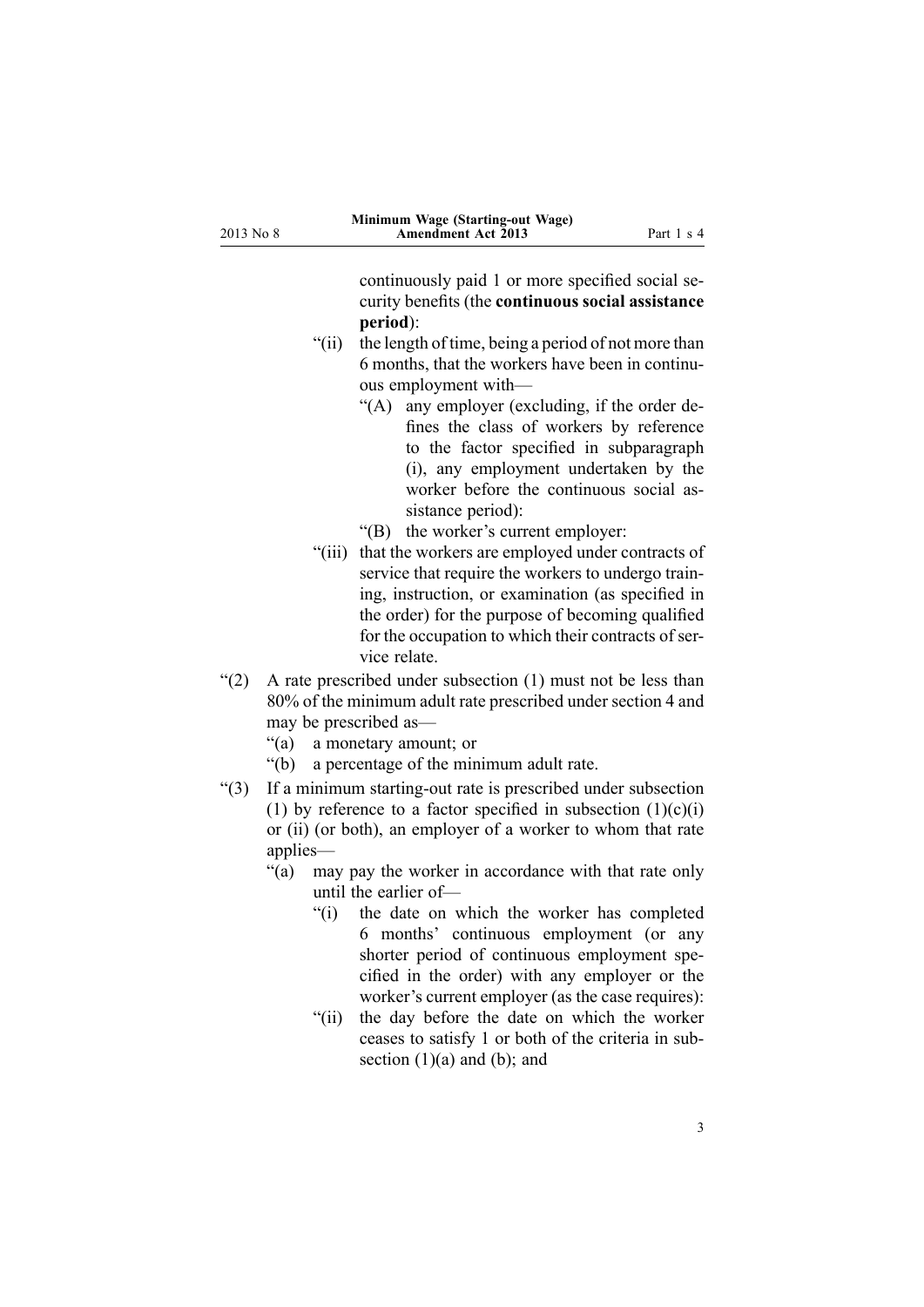continuously paid 1 or more specified social security benefits (the **continuous social assistance period**):

- "(ii) the length of time, being <sup>a</sup> period of not more than 6 months, that the workers have been in continuous employment with—
	- "(A) any employer (excluding, if the order defines the class of workers by reference to the factor specified in subparagraph (i), any employment undertaken by the worker before the continuous social assistance period):
	- "(B) the worker's current employer:
- "(iii) that the workers are employed under contracts of service that require the workers to undergo training, instruction, or examination (as specified in the order) for the purpose of becoming qualified for the occupation to which their contracts of service relate.
- "(2) A rate prescribed under subsection (1) must not be less than 80% of the minimum adult rate prescribed under section 4 and may be prescribed as—
	- "(a) <sup>a</sup> monetary amount; or
	- "(b) <sup>a</sup> percentage of the minimum adult rate.
- "(3) If <sup>a</sup> minimum starting-out rate is prescribed under subsection (1) by reference to a factor specified in subsection  $(1)(c)(i)$ or (ii) (or both), an employer of <sup>a</sup> worker to whom that rate applies—
	- "(a) may pay the worker in accordance with that rate only until the earlier of—
		- "(i) the date on which the worker has completed 6 months' continuous employment (or any shorter period of continuous employment specified in the order) with any employer or the worker's current employer (as the case requires):
		- "(ii) the day before the date on which the worker ceases to satisfy 1 or both of the criteria in subsection  $(1)(a)$  and  $(b)$ ; and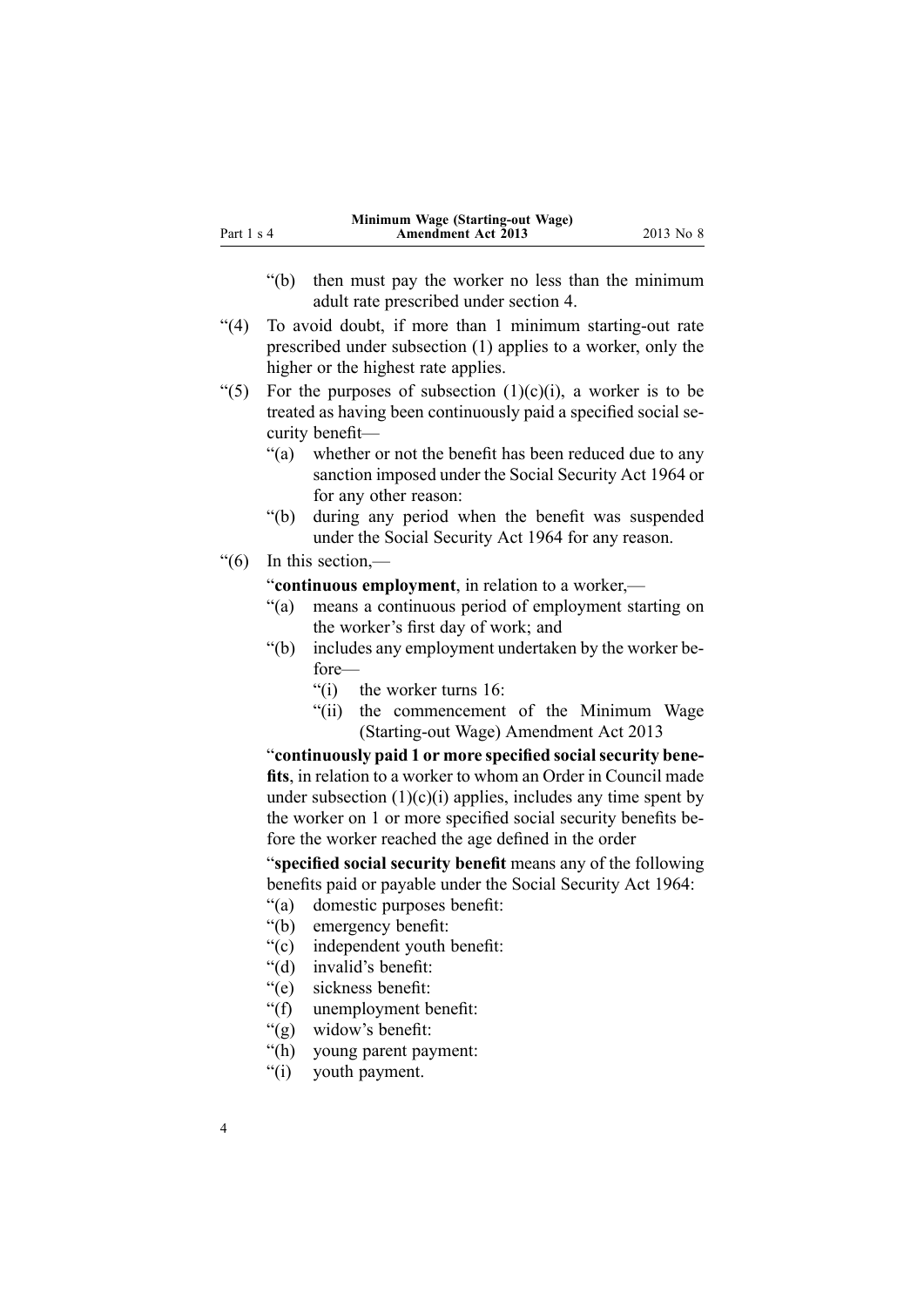- "(b) then must pay the worker no less than the minimum adult rate prescribed under section 4.
- "(4) To avoid doubt, if more than 1 minimum starting-out rate prescribed under subsection (1) applies to <sup>a</sup> worker, only the higher or the highest rate applies.
- "(5) For the purposes of subsection  $(1)(c)(i)$ , a worker is to be treated as having been continuously paid <sup>a</sup> specified social security benefit—
	- "(a) whether or not the benefit has been reduced due to any sanction imposed under the Social Security Act 1964 or for any other reason:
	- "(b) during any period when the benefit was suspended under the Social Security Act 1964 for any reason.
- "(6) In this section,—

"**continuous employment**, in relation to <sup>a</sup> worker,—

- "(a) means <sup>a</sup> continuous period of employment starting on the worker's first day of work; and
- "(b) includes any employment undertaken by the worker before—
	- $"$ (i) the worker turns 16:
	- "(ii) the commencement of the Minimum Wage (Starting-out Wage) Amendment Act 2013

"**continuously paid 1 or more specified socialsecurity benefits**, in relation to <sup>a</sup> worker to whom an Order in Council made under subsection  $(1)(c)(i)$  applies, includes any time spent by the worker on 1 or more specified social security benefits before the worker reached the age defined in the order

"**specified social security benefit** means any of the following benefits paid or payable under the Social Security Act 1964:

- "(a) domestic purposes benefit:
- "(b) emergency benefit:
- "(c) independent youth benefit:
- "(d) invalid's benefit:
- "(e) sickness benefit:
- "(f) unemployment benefit:
- "(g) widow's benefit:
- "(h) young paren<sup>t</sup> payment:
- "(i) youth payment.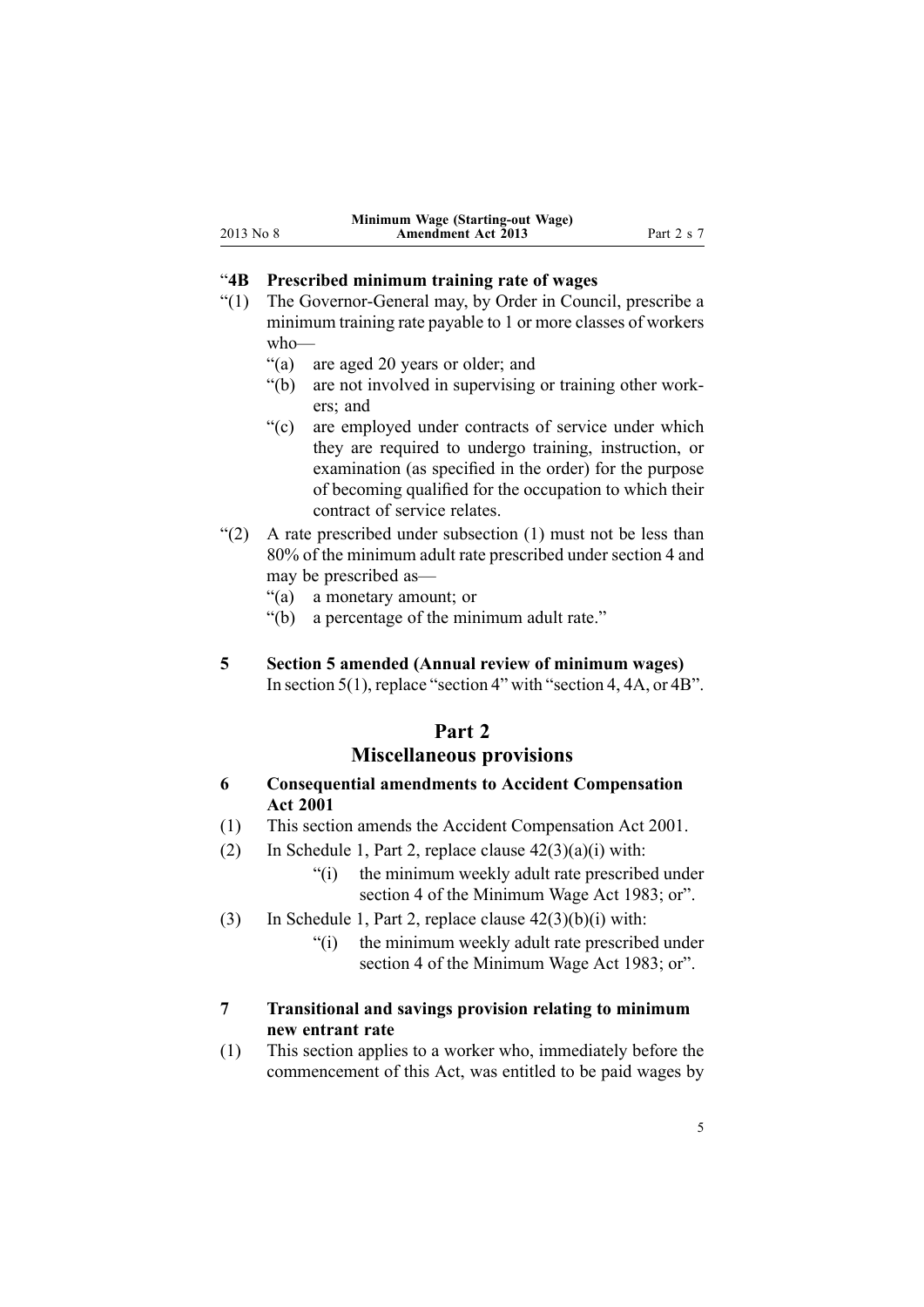#### <span id="page-4-0"></span>"**4B Prescribed minimum training rate of wages**

- "(1) The Governor-General may, by Order in Council, prescribe <sup>a</sup> minimum training rate payable to 1 or more classes of workers who—
	- "(a) are aged 20 years or older; and
	- "(b) are not involved in supervising or training other workers; and
	- "(c) are employed under contracts of service under which they are required to undergo training, instruction, or examination (as specified in the order) for the purpose of becoming qualified for the occupation to which their contract of service relates.
- " $(2)$  A rate prescribed under subsection  $(1)$  must not be less than 80% of the minimum adult rate prescribed under section 4 and may be prescribed as—
	- "(a) <sup>a</sup> monetary amount; or
	- "(b) <sup>a</sup> percentage of the minimum adult rate."
- **5 Section 5 amended (Annual review of minimum wages)** In [section](http://www.legislation.govt.nz/pdflink.aspx?id=DLM74416) 5(1), replace "section 4" with "section 4, 4A, or 4B".

# **Part 2**

# **Miscellaneous provisions**

- **6 Consequential amendments to Accident Compensation Act 2001**
- (1) This section amends the Accident [Compensation](http://www.legislation.govt.nz/pdflink.aspx?id=DLM99493) Act 2001.
- (2) In [Schedule](http://www.legislation.govt.nz/pdflink.aspx?id=DLM104541) 1, Part 2, replace clause  $42(3)(a)(i)$  with:
	- "(i) the minimum weekly adult rate prescribed under section 4 of the Minimum Wage Act 1983; or".
- (3) In [Schedule](http://www.legislation.govt.nz/pdflink.aspx?id=DLM104541) 1, Part 2, replace clause  $42(3)(b)(i)$  with:
	- "(i) the minimum weekly adult rate prescribed under section 4 of the Minimum Wage Act 1983; or".

## **7 Transitional and savings provision relating to minimum new entrant rate**

(1) This section applies to <sup>a</sup> worker who, immediately before the commencement of this Act, was entitled to be paid wages by